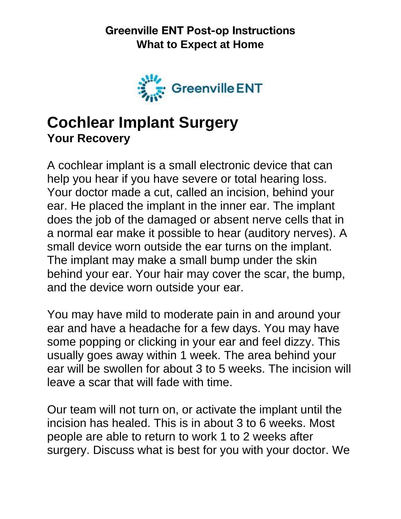

## **Cochlear Implant Surgery Your Recovery**

A cochlear implant is a small electronic device that can help you hear if you have severe or total hearing loss. Your doctor made a cut, called an incision, behind your ear. He placed the implant in the inner ear. The implant does the job of the damaged or absent nerve cells that in a normal ear make it possible to hear (auditory nerves). A small device worn outside the ear turns on the implant. The implant may make a small bump under the skin behind your ear. Your hair may cover the scar, the bump, and the device worn outside your ear.

You may have mild to moderate pain in and around your ear and have a headache for a few days. You may have some popping or clicking in your ear and feel dizzy. This usually goes away within 1 week. The area behind your ear will be swollen for about 3 to 5 weeks. The incision will leave a scar that will fade with time.

Our team will not turn on, or activate the implant until the incision has healed. This is in about 3 to 6 weeks. Most people are able to return to work 1 to 2 weeks after surgery. Discuss what is best for you with your doctor. We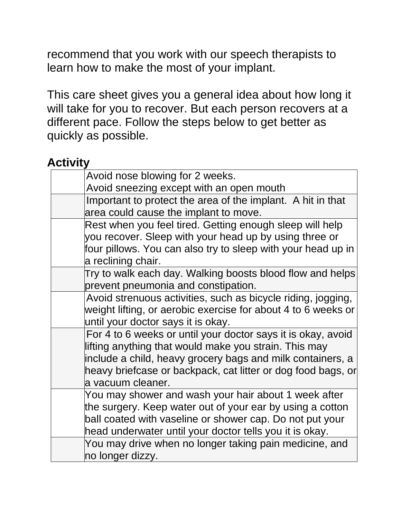recommend that you work with our speech therapists to learn how to make the most of your implant.

This care sheet gives you a general idea about how long it will take for you to recover. But each person recovers at a different pace. Follow the steps below to get better as quickly as possible.

#### **Activity**

| Avoid nose blowing for 2 weeks.                               |  |
|---------------------------------------------------------------|--|
| Avoid sneezing except with an open mouth                      |  |
| Important to protect the area of the implant. A hit in that   |  |
| area could cause the implant to move.                         |  |
| Rest when you feel tired. Getting enough sleep will help      |  |
| you recover. Sleep with your head up by using three or        |  |
| four pillows. You can also try to sleep with your head up in  |  |
| a reclining chair.                                            |  |
| Try to walk each day. Walking boosts blood flow and helps     |  |
| prevent pneumonia and constipation.                           |  |
| Avoid strenuous activities, such as bicycle riding, jogging,  |  |
| weight lifting, or aerobic exercise for about 4 to 6 weeks or |  |
| until your doctor says it is okay.                            |  |
| For 4 to 6 weeks or until your doctor says it is okay, avoid  |  |
| lifting anything that would make you strain. This may         |  |
| include a child, heavy grocery bags and milk containers, a    |  |
| heavy briefcase or backpack, cat litter or dog food bags, or  |  |
| a vacuum cleaner.                                             |  |
| You may shower and wash your hair about 1 week after          |  |
| the surgery. Keep water out of your ear by using a cotton     |  |
| ball coated with vaseline or shower cap. Do not put your      |  |
| head underwater until your doctor tells you it is okay.       |  |
| You may drive when no longer taking pain medicine, and        |  |
| no longer dizzy.                                              |  |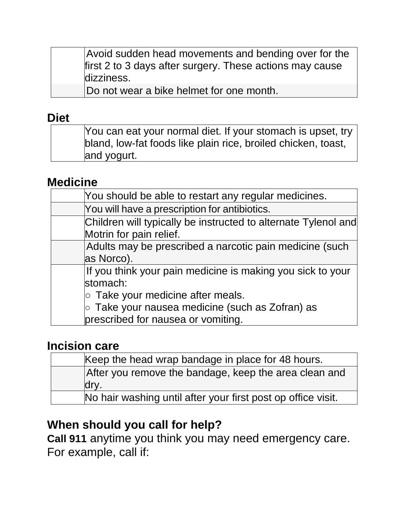Avoid sudden head movements and bending over for the first 2 to 3 days after surgery. These actions may cause dizziness.

Do not wear a bike helmet for one month.

#### **Diet**

| You can eat your normal diet. If your stomach is upset, try   |
|---------------------------------------------------------------|
| bland, low-fat foods like plain rice, broiled chicken, toast, |
| and yogurt.                                                   |

### **Medicine**

| You should be able to restart any regular medicines.           |
|----------------------------------------------------------------|
| You will have a prescription for antibiotics.                  |
| Children will typically be instructed to alternate Tylenol and |
| Motrin for pain relief.                                        |
| Adults may be prescribed a narcotic pain medicine (such        |
| as Norco).                                                     |
| If you think your pain medicine is making you sick to your     |
| stomach:                                                       |
| $\circ$ Take your medicine after meals.                        |
| $\circ$ Take your nausea medicine (such as Zofran) as          |
| prescribed for nausea or vomiting.                             |

#### **Incision care**

| Keep the head wrap bandage in place for 48 hours.            |
|--------------------------------------------------------------|
| After you remove the bandage, keep the area clean and        |
| dry.                                                         |
| No hair washing until after your first post op office visit. |

## **When should you call for help?**

**Call 911** anytime you think you may need emergency care. For example, call if: